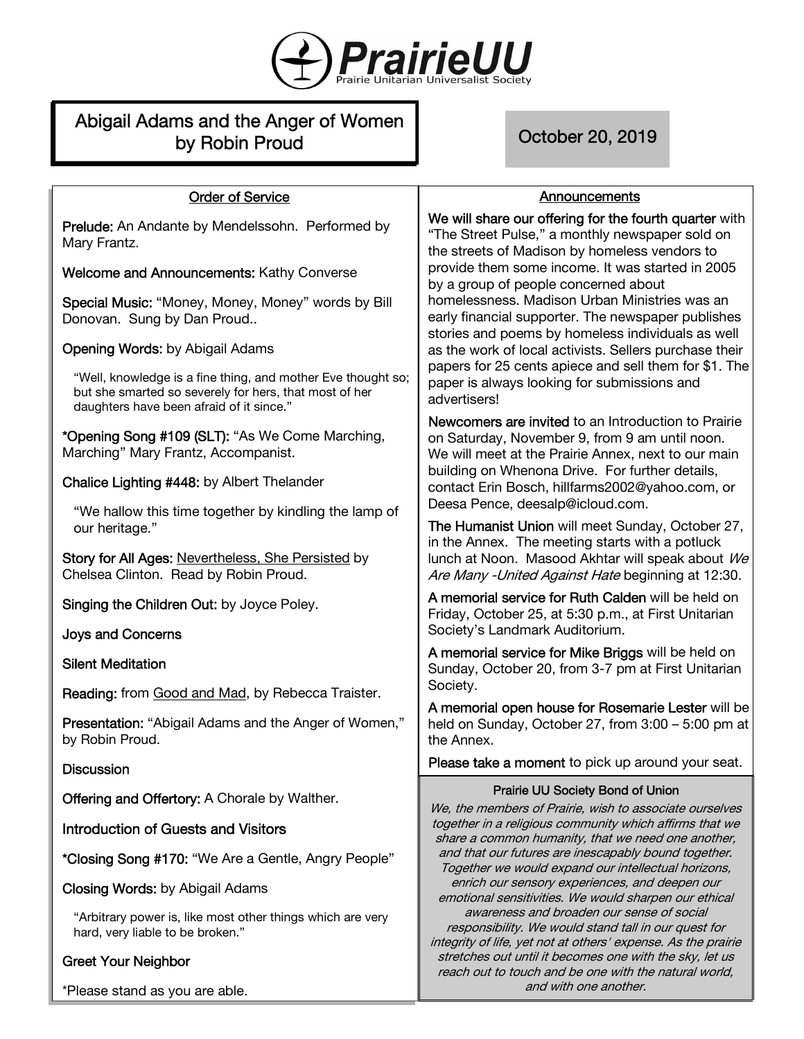

# Abigail Adams and the Anger of Women by Robin Proud **Decision Corp.** October 20, 2019

**Announcements** 

### Order of Service

Prelude: An Andante by Mendelssohn. Performed by Mary Frantz.

Welcome and Announcements: Kathy Converse

Special Music: "Money, Money, Money" words by Bill Donovan. Sung by Dan Proud..

Opening Words: by Abigail Adams

"Well, knowledge is a fine thing, and mother Eve thought so; but she smarted so severely for hers, that most of her daughters have been afraid of it since."

\*Opening Song #109 (SLT): "As We Come Marching, Marching" Mary Frantz, Accompanist.

Chalice Lighting #448: by Albert Thelander

"We hallow this time together by kindling the lamp of our heritage."

Story for All Ages: Nevertheless, She Persisted by Chelsea Clinton. Read by Robin Proud.

Singing the Children Out: by Joyce Poley.

Joys and Concerns

Silent Meditation

Reading: from Good and Mad, by Rebecca Traister.

Presentation: "Abigail Adams and the Anger of Women," by Robin Proud.

### **Discussion**

Offering and Offertory: A Chorale by Walther.

Introduction of Guests and Visitors

\*Closing Song #170: "We Are a Gentle, Angry People"

Closing Words: by Abigail Adams

"Arbitrary power is, like most other things which are very hard, very liable to be broken."

# Greet Your Neighbor

\*Please stand as you are able.

We will share our offering for the fourth quarter with "The Street Pulse," a monthly newspaper sold on the streets of Madison by homeless vendors to provide them some income. It was started in 2005 by a group of people concerned about homelessness. Madison Urban Ministries was an early financial supporter. The newspaper publishes stories and poems by homeless individuals as well as the work of local activists. Sellers purchase their papers for 25 cents apiece and sell them for \$1. The paper is always looking for submissions and advertisers!

Newcomers are invited to an Introduction to Prairie on Saturday, November 9, from 9 am until noon. We will meet at the Prairie Annex, next to our main building on Whenona Drive. For further details, contact Erin Bosch, hillfarms2002@yahoo.com, or Deesa Pence, deesalp@icloud.com.

The Humanist Union will meet Sunday, October 27, in the Annex. The meeting starts with a potluck lunch at Noon. Masood Akhtar will speak about We Are Many - United Against Hate beginning at 12:30.

A memorial service for Ruth Calden will be held on Friday, October 25, at 5:30 p.m., at First Unitarian Society's Landmark Auditorium.

A memorial service for Mike Briggs will be held on Sunday, October 20, from 3-7 pm at First Unitarian Society.

A memorial open house for Rosemarie Lester will be held on Sunday, October 27, from 3:00 – 5:00 pm at the Annex.

Please take a moment to pick up around your seat.

#### Prairie UU Society Bond of Union

We, the members of Prairie, wish to associate ourselves together in a religious community which affirms that we share a common humanity, that we need one another, and that our futures are inescapably bound together. Together we would expand our intellectual horizons, enrich our sensory experiences, and deepen our emotional sensitivities. We would sharpen our ethical awareness and broaden our sense of social responsibility. We would stand tall in our quest for integrity of life, yet not at others' expense. As the prairie stretches out until it becomes one with the sky, let us reach out to touch and be one with the natural world, and with one another.